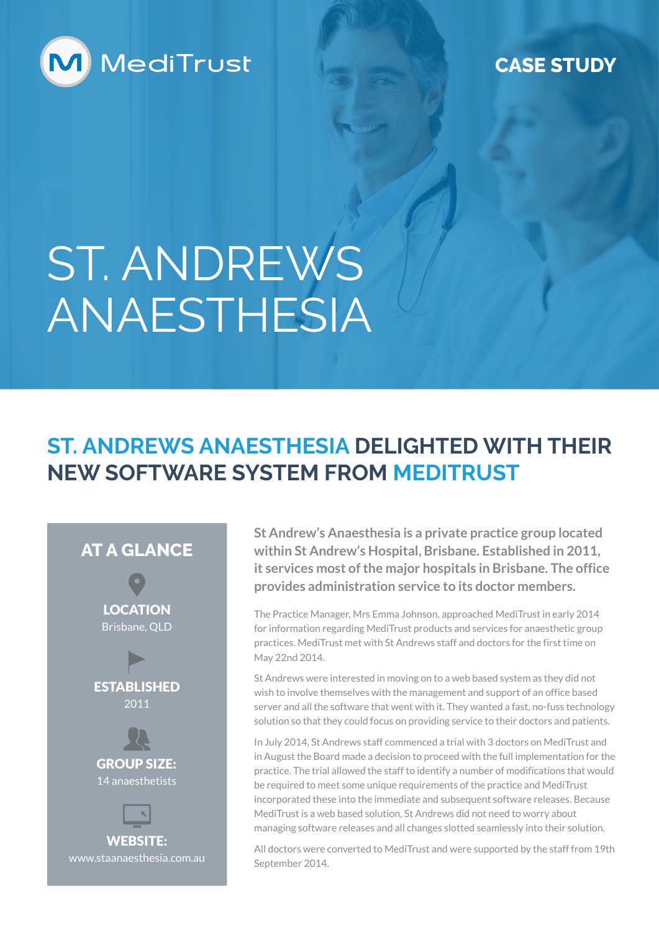

#### **CASE STUDY**

# ST. ANDREWS ANAESTHESIA

### **ST. ANDREWS ANAESTHESIA DELIGHTED WITH THEIR NEW SOFTWARE SYSTEM FROM MEDITRUST**



**St Andrew's Anaesthesia is a private practice group located within St Andrew's Hospital, Brisbane. Established in 2011, it services most of the major hospitals in Brisbane. The office provides administration service to its doctor members.**

The Practice Manager, Mrs Emma Johnson, approached MediTrust in early 2014 for information regarding MediTrust products and services for anaesthetic group practices. MediTrust met with St Andrews staff and doctors for the first time on May 22nd 2014.

St Andrews were interested in moving on to a web based system as they did not wish to involve themselves with the management and support of an office based server and all the software that went with it. They wanted a fast, no-fuss technology solution so that they could focus on providing service to their doctors and patients.

In July 2014, St Andrews staff commenced a trial with 3 doctors on MediTrust and in August the Board made a decision to proceed with the full implementation for the practice. The trial allowed the staff to identify a number of modifications that would be required to meet some unique requirements of the practice and MediTrust incorporated these into the immediate and subsequent software releases. Because MediTrust is a web based solution, St Andrews did not need to worry about managing software releases and all changes slotted seamlessly into their solution.

All doctors were converted to MediTrust and were supported by the staff from 19th September 2014.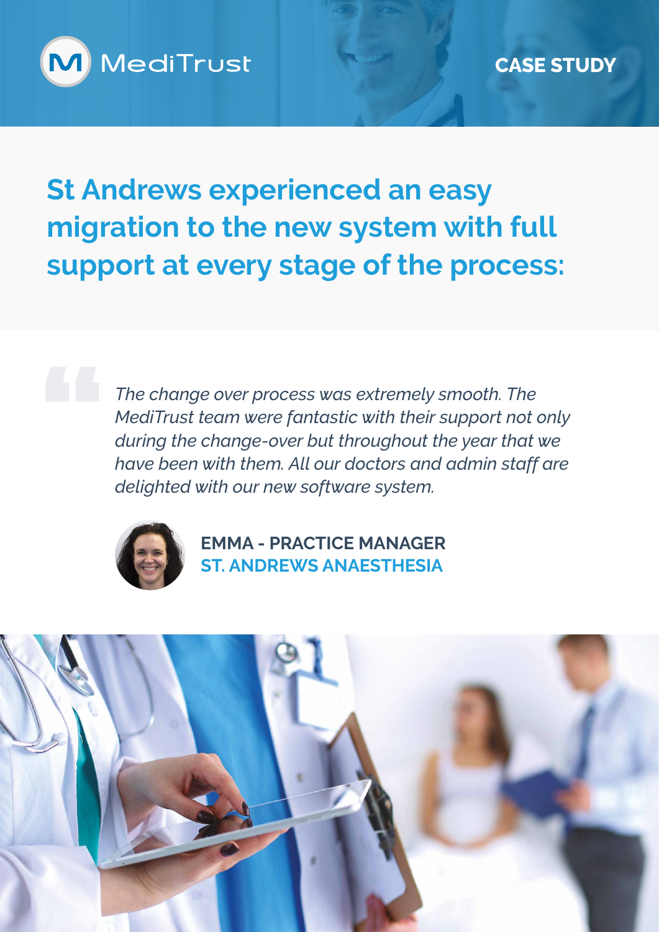

**St Andrews experienced an easy migration to the new system with full support at every stage of the process:** 

> *The change over process was extremely smooth. The MediTrust team were fantastic with their support not only during the change-over but throughout the year that we have been with them. All our doctors and admin staff are delighted with our new software system.*



**EMMA - PRACTICE MANAGER ST. ANDREWS ANAESTHESIA**

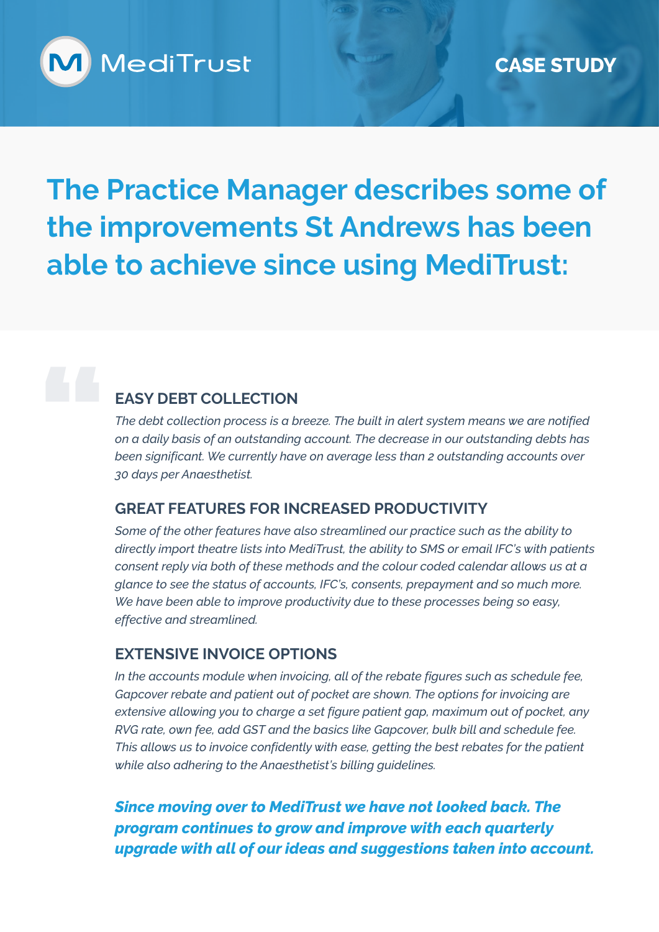

## **The Practice Manager describes some of the improvements St Andrews has been able to achieve since using MediTrust:**

#### **EASY DEBT COLLECTION**

*The debt collection process is a breeze. The built in alert system means we are notified on a daily basis of an outstanding account. The decrease in our outstanding debts has been significant. We currently have on average less than 2 outstanding accounts over 30 days per Anaesthetist.*

#### **GREAT FEATURES FOR INCREASED PRODUCTIVITY**

*Some of the other features have also streamlined our practice such as the ability to directly import theatre lists into MediTrust, the ability to SMS or email IFC's with patients consent reply via both of these methods and the colour coded calendar allows us at a glance to see the status of accounts, IFC's, consents, prepayment and so much more. We have been able to improve productivity due to these processes being so easy, effective and streamlined.*

#### **EXTENSIVE INVOICE OPTIONS**

*In the accounts module when invoicing, all of the rebate figures such as schedule fee, Gapcover rebate and patient out of pocket are shown. The options for invoicing are extensive allowing you to charge a set figure patient gap, maximum out of pocket, any RVG rate, own fee, add GST and the basics like Gapcover, bulk bill and schedule fee. This allows us to invoice confidently with ease, getting the best rebates for the patient while also adhering to the Anaesthetist's billing guidelines.*

*Since moving over to MediTrust we have not looked back. The program continues to grow and improve with each quarterly upgrade with all of our ideas and suggestions taken into account.*